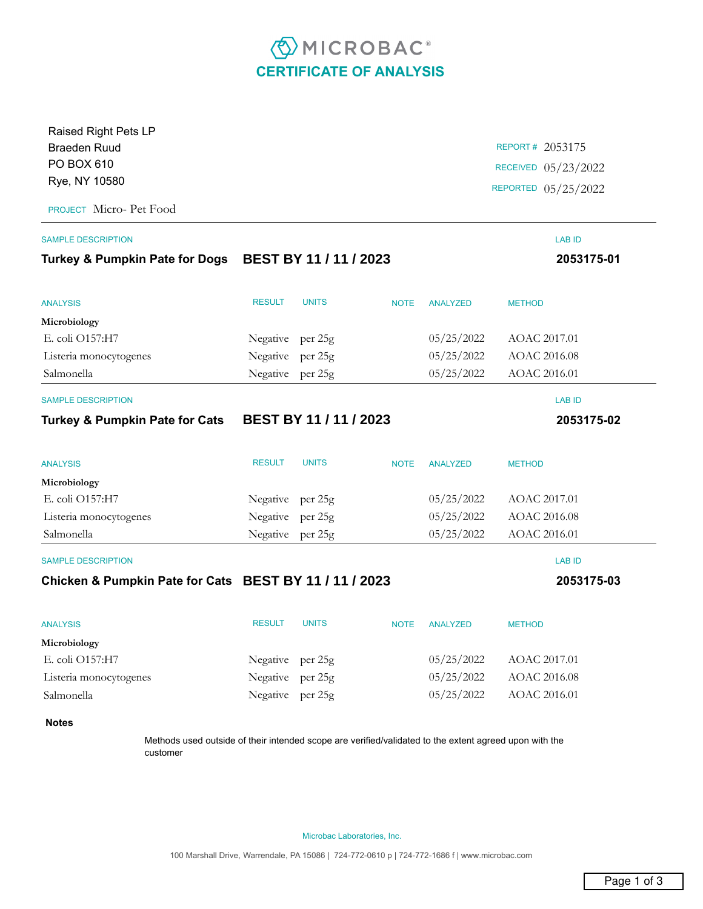## **EMICROBAC CERTIFICATE OF ANALYSIS**

| Raised Right Pets LP                                   |                           |              |             |                 |                     |
|--------------------------------------------------------|---------------------------|--------------|-------------|-----------------|---------------------|
| <b>Braeden Ruud</b>                                    |                           |              |             |                 | REPORT# 2053175     |
| PO BOX 610                                             |                           |              |             |                 | RECEIVED 05/23/2022 |
| Rye, NY 10580                                          |                           |              |             |                 | REPORTED 05/25/2022 |
| PROJECT Micro- Pet Food                                |                           |              |             |                 |                     |
| <b>SAMPLE DESCRIPTION</b>                              |                           |              |             |                 | <b>LAB ID</b>       |
| Turkey & Pumpkin Pate for Dogs BEST BY 11 / 11 / 2023  |                           |              |             |                 | 2053175-01          |
| <b>ANALYSIS</b>                                        | <b>RESULT</b>             | <b>UNITS</b> | <b>NOTE</b> | <b>ANALYZED</b> | <b>METHOD</b>       |
| Microbiology                                           |                           |              |             |                 |                     |
| E. coli O157:H7                                        | Negative per 25g          |              |             | 05/25/2022      | AOAC 2017.01        |
| Listeria monocytogenes                                 | Negative per 25g          |              |             | 05/25/2022      | AOAC 2016.08        |
| Salmonella                                             | Negative per 25g          |              |             | 05/25/2022      | AOAC 2016.01        |
| <b>SAMPLE DESCRIPTION</b>                              |                           |              |             |                 | <b>LAB ID</b>       |
| <b>Turkey &amp; Pumpkin Pate for Cats</b>              | <b>BEST BY 11/11/2023</b> |              |             |                 | 2053175-02          |
| <b>ANALYSIS</b>                                        | <b>RESULT</b>             | <b>UNITS</b> | <b>NOTE</b> | <b>ANALYZED</b> | <b>METHOD</b>       |
| Microbiology                                           |                           |              |             |                 |                     |
| E. coli O157:H7                                        | Negative per 25g          |              |             | 05/25/2022      | AOAC 2017.01        |
| Listeria monocytogenes                                 | Negative per 25g          |              |             | 05/25/2022      | AOAC 2016.08        |
| Salmonella                                             | Negative per 25g          |              |             | 05/25/2022      | AOAC 2016.01        |
| <b>SAMPLE DESCRIPTION</b>                              |                           |              |             |                 | <b>LAB ID</b>       |
| Chicken & Pumpkin Pate for Cats BEST BY 11 / 11 / 2023 |                           |              |             |                 | 2053175-03          |
| <b>ANALYSIS</b>                                        | <b>RESULT</b>             | <b>UNITS</b> | <b>NOTE</b> | <b>ANALYZED</b> | <b>METHOD</b>       |
| Microbiology                                           |                           |              |             |                 |                     |
| E. coli O157:H7                                        | Negative per 25g          |              |             | 05/25/2022      | AOAC 2017.01        |
| Listeria monocytogenes                                 | Negative                  | per 25g      |             | 05/25/2022      | AOAC 2016.08        |
| Salmonella                                             | Negative per 25g          |              |             | 05/25/2022      | AOAC 2016.01        |
| <b>Notes</b>                                           |                           |              |             |                 |                     |

Methods used outside of their intended scope are verified/validated to the extent agreed upon with the customer

Microbac Laboratories, Inc.